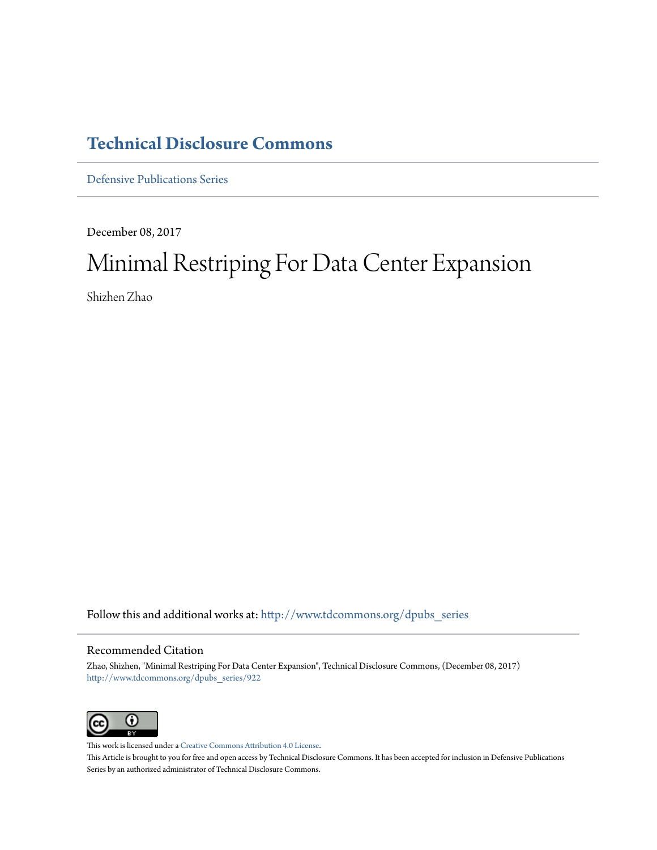# **[Technical Disclosure Commons](http://www.tdcommons.org?utm_source=www.tdcommons.org%2Fdpubs_series%2F922&utm_medium=PDF&utm_campaign=PDFCoverPages)**

[Defensive Publications Series](http://www.tdcommons.org/dpubs_series?utm_source=www.tdcommons.org%2Fdpubs_series%2F922&utm_medium=PDF&utm_campaign=PDFCoverPages)

December 08, 2017

# Minimal Restriping For Data Center Expansion

Shizhen Zhao

Follow this and additional works at: [http://www.tdcommons.org/dpubs\\_series](http://www.tdcommons.org/dpubs_series?utm_source=www.tdcommons.org%2Fdpubs_series%2F922&utm_medium=PDF&utm_campaign=PDFCoverPages)

### Recommended Citation

Zhao, Shizhen, "Minimal Restriping For Data Center Expansion", Technical Disclosure Commons, (December 08, 2017) [http://www.tdcommons.org/dpubs\\_series/922](http://www.tdcommons.org/dpubs_series/922?utm_source=www.tdcommons.org%2Fdpubs_series%2F922&utm_medium=PDF&utm_campaign=PDFCoverPages)



This work is licensed under a [Creative Commons Attribution 4.0 License.](http://creativecommons.org/licenses/by/4.0/deed.en_US) This Article is brought to you for free and open access by Technical Disclosure Commons. It has been accepted for inclusion in Defensive Publications Series by an authorized administrator of Technical Disclosure Commons.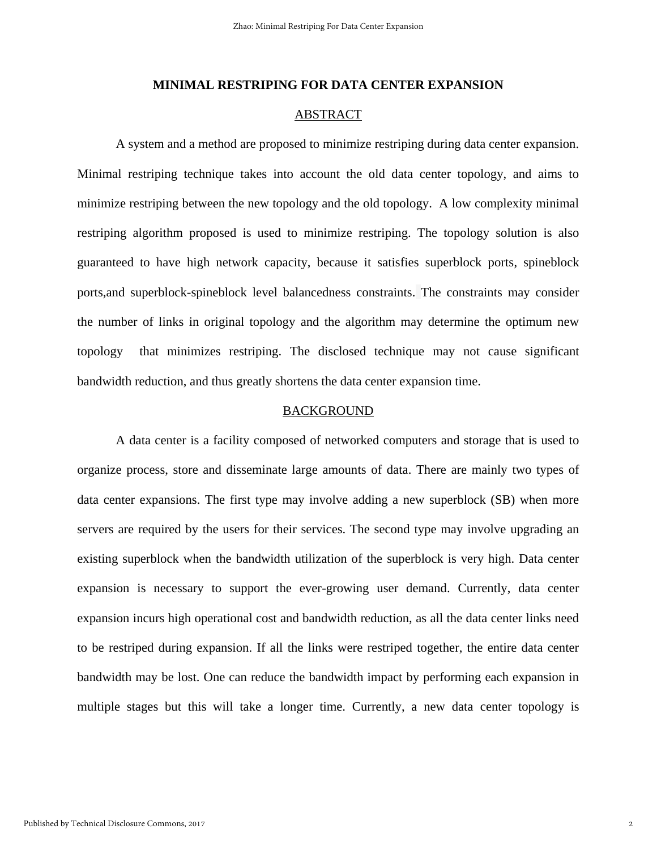#### **MINIMAL RESTRIPING FOR DATA CENTER EXPANSION**

## ABSTRACT

A system and a method are proposed to minimize restriping during data center expansion. Minimal restriping technique takes into account the old data center topology, and aims to minimize restriping between the new topology and the old topology. A low complexity minimal restriping algorithm proposed is used to minimize restriping. The topology solution is also guaranteed to have high network capacity, because it satisfies superblock ports, spineblock ports,and superblock-spineblock level balancedness constraints. The constraints may consider the number of links in original topology and the algorithm may determine the optimum new topology that minimizes restriping. The disclosed technique may not cause significant bandwidth reduction, and thus greatly shortens the data center expansion time.

#### BACKGROUND

A data center is a facility composed of networked computers and storage that is used to organize process, store and disseminate large amounts of data. There are mainly two types of data center expansions. The first type may involve adding a new superblock (SB) when more servers are required by the users for their services. The second type may involve upgrading an existing superblock when the bandwidth utilization of the superblock is very high. Data center expansion is necessary to support the ever-growing user demand. Currently, data center expansion incurs high operational cost and bandwidth reduction, as all the data center links need to be restriped during expansion. If all the links were restriped together, the entire data center bandwidth may be lost. One can reduce the bandwidth impact by performing each expansion in multiple stages but this will take a longer time. Currently, a new data center topology is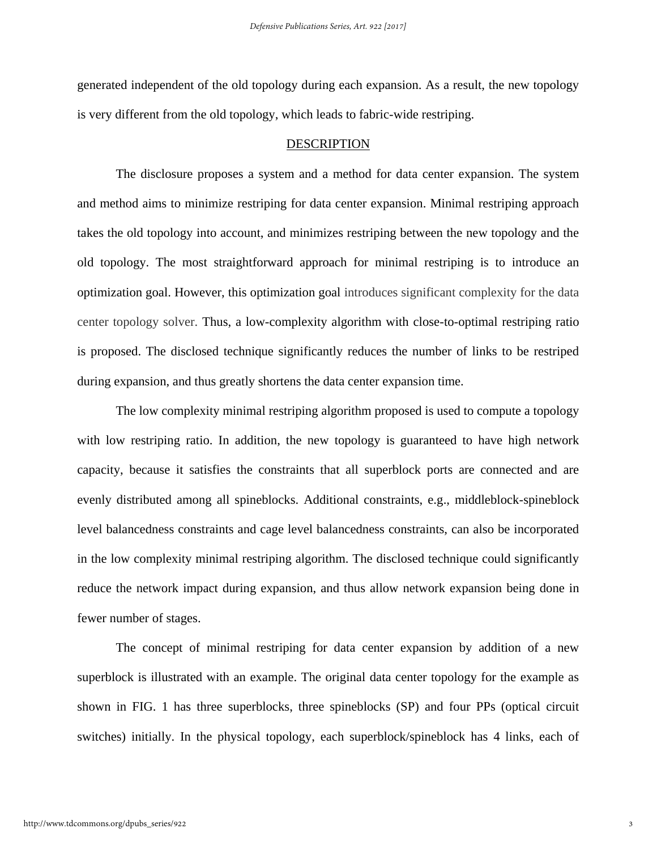generated independent of the old topology during each expansion. As a result, the new topology is very different from the old topology, which leads to fabric-wide restriping.

#### DESCRIPTION

The disclosure proposes a system and a method for data center expansion. The system and method aims to minimize restriping for data center expansion. Minimal restriping approach takes the old topology into account, and minimizes restriping between the new topology and the old topology. The most straightforward approach for minimal restriping is to introduce an optimization goal. However, this optimization goal introduces significant complexity for the data center topology solver. Thus, a low-complexity algorithm with close-to-optimal restriping ratio is proposed. The disclosed technique significantly reduces the number of links to be restriped during expansion, and thus greatly shortens the data center expansion time.

The low complexity minimal restriping algorithm proposed is used to compute a topology with low restriping ratio. In addition, the new topology is guaranteed to have high network capacity, because it satisfies the constraints that all superblock ports are connected and are evenly distributed among all spineblocks. Additional constraints, e.g., middleblock-spineblock level balancedness constraints and cage level balancedness constraints, can also be incorporated in the low complexity minimal restriping algorithm. The disclosed technique could significantly reduce the network impact during expansion, and thus allow network expansion being done in fewer number of stages.

The concept of minimal restriping for data center expansion by addition of a new superblock is illustrated with an example. The original data center topology for the example as shown in FIG. 1 has three superblocks, three spineblocks (SP) and four PPs (optical circuit switches) initially. In the physical topology, each superblock/spineblock has 4 links, each of

3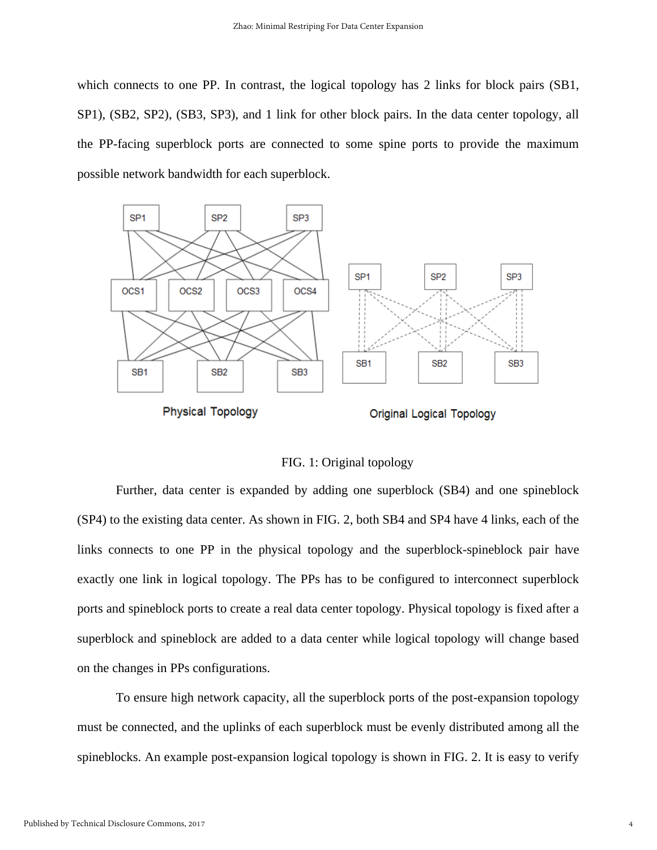which connects to one PP. In contrast, the logical topology has 2 links for block pairs (SB1, SP1), (SB2, SP2), (SB3, SP3), and 1 link for other block pairs. In the data center topology, all the PP-facing superblock ports are connected to some spine ports to provide the maximum possible network bandwidth for each superblock.



FIG. 1: Original topology

Further, data center is expanded by adding one superblock (SB4) and one spineblock (SP4) to the existing data center. As shown in FIG. 2, both SB4 and SP4 have 4 links, each of the links connects to one PP in the physical topology and the superblock-spineblock pair have exactly one link in logical topology. The PPs has to be configured to interconnect superblock ports and spineblock ports to create a real data center topology. Physical topology is fixed after a superblock and spineblock are added to a data center while logical topology will change based on the changes in PPs configurations.

To ensure high network capacity, all the superblock ports of the post-expansion topology must be connected, and the uplinks of each superblock must be evenly distributed among all the spineblocks. An example post-expansion logical topology is shown in FIG. 2. It is easy to verify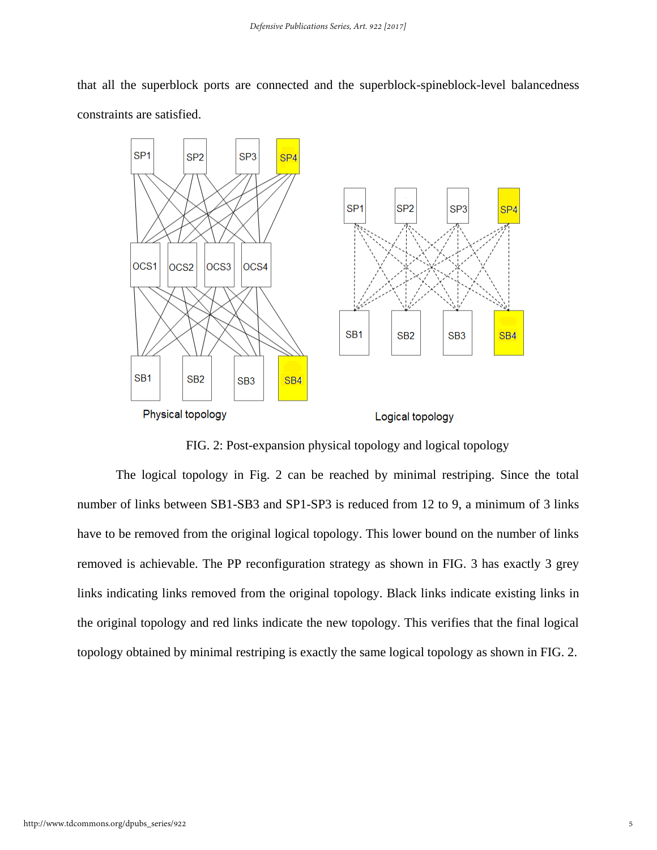that all the superblock ports are connected and the superblock-spineblock-level balancedness constraints are satisfied.



FIG. 2: Post-expansion physical topology and logical topology

The logical topology in Fig. 2 can be reached by minimal restriping. Since the total number of links between SB1-SB3 and SP1-SP3 is reduced from 12 to 9, a minimum of 3 links have to be removed from the original logical topology. This lower bound on the number of links removed is achievable. The PP reconfiguration strategy as shown in FIG. 3 has exactly 3 grey links indicating links removed from the original topology. Black links indicate existing links in the original topology and red links indicate the new topology. This verifies that the final logical topology obtained by minimal restriping is exactly the same logical topology as shown in FIG. 2.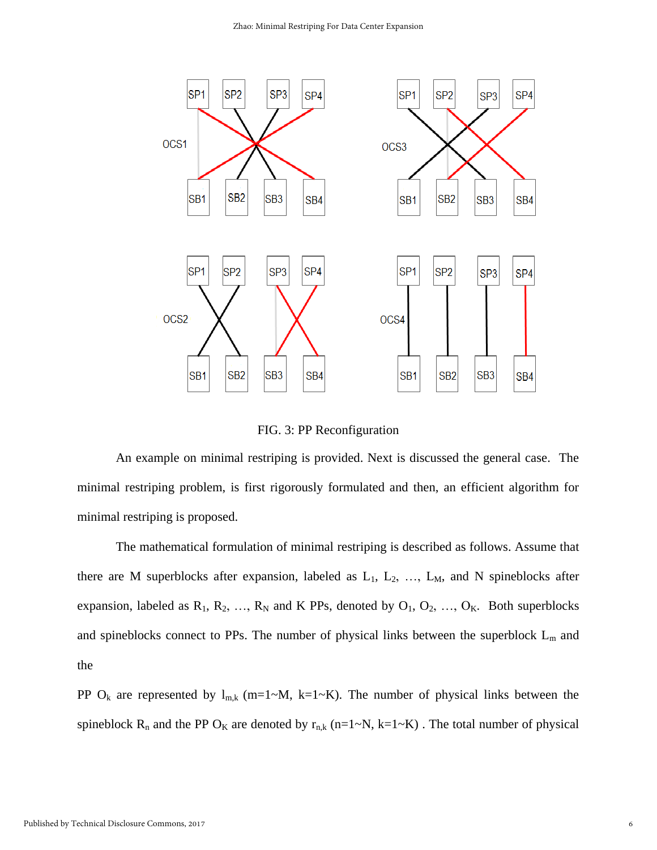

FIG. 3: PP Reconfiguration

An example on minimal restriping is provided. Next is discussed the general case. The minimal restriping problem, is first rigorously formulated and then, an efficient algorithm for minimal restriping is proposed.

The mathematical formulation of minimal restriping is described as follows. Assume that there are M superblocks after expansion, labeled as  $L_1$ ,  $L_2$ , ...,  $L_M$ , and N spineblocks after expansion, labeled as  $R_1, R_2, ..., R_N$  and K PPs, denoted by  $O_1, O_2, ..., O_K$ . Both superblocks and spineblocks connect to PPs. The number of physical links between the superblock  $L_m$  and the

PP O<sub>k</sub> are represented by  $l_{m,k}$  (m=1~M, k=1~K). The number of physical links between the spineblock R<sub>n</sub> and the PP O<sub>K</sub> are denoted by  $r_{n,k}$  (n=1~N, k=1~K). The total number of physical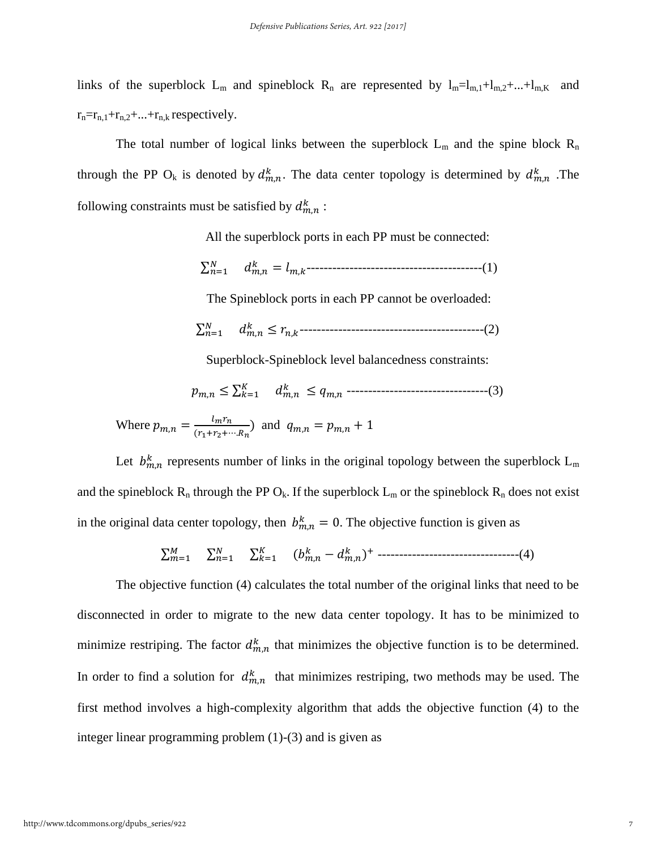links of the superblock  $L_m$  and spineblock  $R_n$  are represented by  $l_m=l_{m,1}+l_{m,2}+...+l_{m,K}$  and  $r_n=r_{n,1}+r_{n,2}+\ldots+r_{n,k}$  respectively.

The total number of logical links between the superblock  $L_m$  and the spine block  $R_n$ through the PP O<sub>k</sub> is denoted by  $d_{m,n}^k$ . The data center topology is determined by  $d_{m,n}^k$ . The following constraints must be satisfied by  $d_{m,n}^k$ :

All the superblock ports in each PP must be connected:

$$
\sum_{n=1}^{N} d_{m,n}^{k} = l_{m,k}
$$

The Spineblock ports in each PP cannot be overloaded:

$$
\sum_{n=1}^{N} d_{m,n}^{k} \le r_{n,k}
$$

Superblock-Spineblock level balancedness constraints:

$$
p_{m,n} \le \sum_{k=1}^{K} d_{m,n}^{k} \le q_{m,n}
$$
 *----------------*

Where  $p_{m,n} = \frac{l_m r_n}{(r+r_n)}$  $\frac{m_1 n_1}{(r_1 + r_2 + \cdots + r_n)}$  and  $q_{m,n} = p_{m,n} + 1$ 

Let  $b_{m,n}^k$  represents number of links in the original topology between the superblock  $L_m$ and the spineblock  $R_n$  through the PP  $O_k$ . If the superblock  $L_m$  or the spineblock  $R_n$  does not exist in the original data center topology, then  $b_{m,n}^k = 0$ . The objective function is given as

$$
\sum_{m=1}^{M} \sum_{n=1}^{N} \sum_{k=1}^{K} (b_{m,n}^{k} - d_{m,n}^{k})^{+}
$$
-----  
-----  
-----(4)

The objective function (4) calculates the total number of the original links that need to be disconnected in order to migrate to the new data center topology. It has to be minimized to minimize restriping. The factor  $d_{m,n}^k$  that minimizes the objective function is to be determined. In order to find a solution for  $d_{m,n}^k$  that minimizes restriping, two methods may be used. The first method involves a high-complexity algorithm that adds the objective function (4) to the integer linear programming problem (1)-(3) and is given as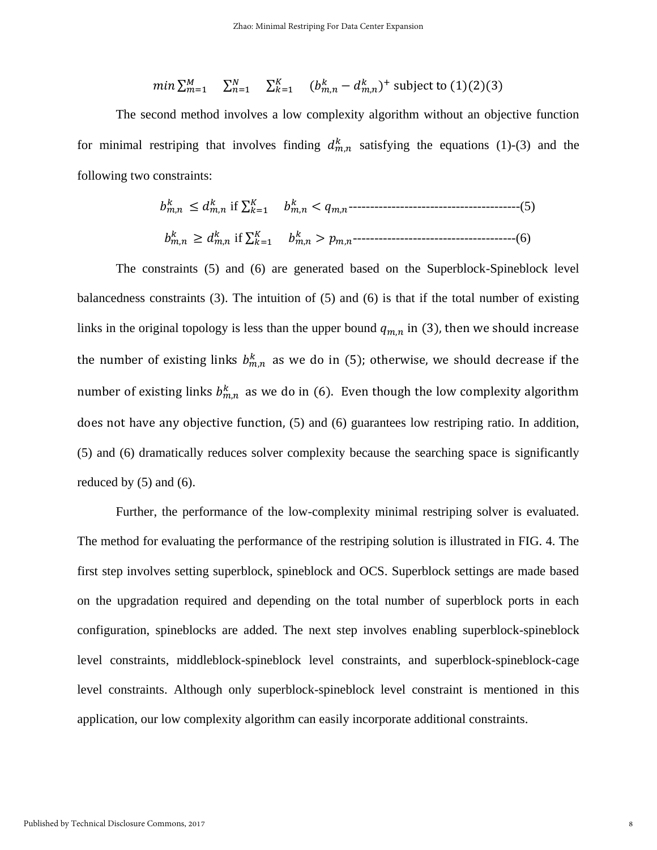$$
min \sum_{m=1}^{M} \sum_{n=1}^{N} \sum_{k=1}^{K} (b_{m,n}^{k} - d_{m,n}^{k})^{+} \text{ subject to } (1)(2)(3)
$$

The second method involves a low complexity algorithm without an objective function for minimal restriping that involves finding  $d_{m,n}^k$  satisfying the equations (1)-(3) and the following two constraints:

, ≤ , if ∑ =1 , < ,----------------------------------------(5) , ≥ , if ∑ =1 , > ,--------------------------------------(6)

The constraints (5) and (6) are generated based on the Superblock-Spineblock level balancedness constraints  $(3)$ . The intuition of  $(5)$  and  $(6)$  is that if the total number of existing links in the original topology is less than the upper bound  $q_{m,n}$  in (3), then we should increase the number of existing links  $b_{m,n}^k$  as we do in (5); otherwise, we should decrease if the number of existing links  $b_{m,n}^k$  as we do in (6). Even though the low complexity algorithm does not have any objective function, (5) and (6) guarantees low restriping ratio. In addition, (5) and (6) dramatically reduces solver complexity because the searching space is significantly reduced by  $(5)$  and  $(6)$ .

Further, the performance of the low-complexity minimal restriping solver is evaluated. The method for evaluating the performance of the restriping solution is illustrated in FIG. 4. The first step involves setting superblock, spineblock and OCS. Superblock settings are made based on the upgradation required and depending on the total number of superblock ports in each configuration, spineblocks are added. The next step involves enabling superblock-spineblock level constraints, middleblock-spineblock level constraints, and superblock-spineblock-cage level constraints. Although only superblock-spineblock level constraint is mentioned in this application, our low complexity algorithm can easily incorporate additional constraints.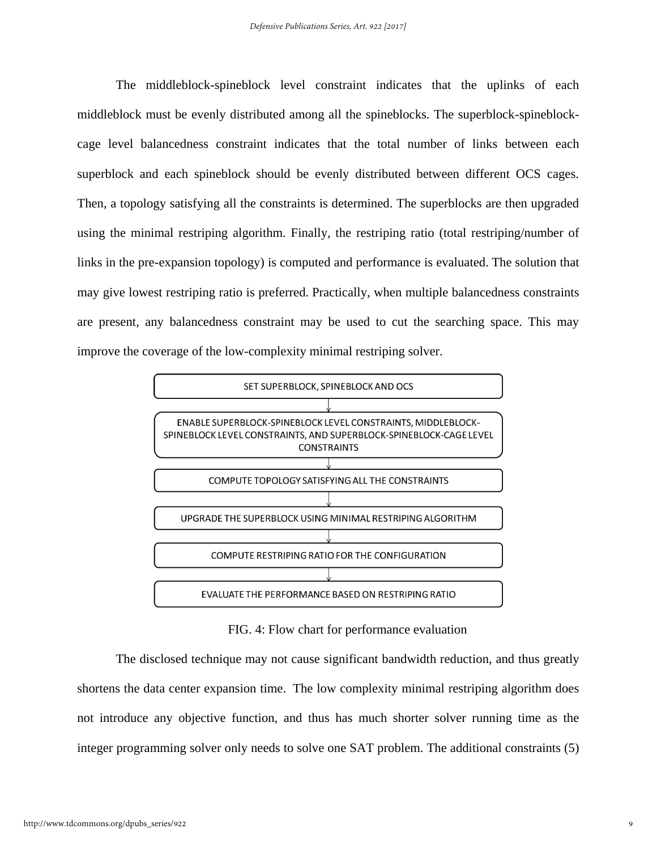The middleblock-spineblock level constraint indicates that the uplinks of each middleblock must be evenly distributed among all the spineblocks. The superblock-spineblockcage level balancedness constraint indicates that the total number of links between each superblock and each spineblock should be evenly distributed between different OCS cages. Then, a topology satisfying all the constraints is determined. The superblocks are then upgraded using the minimal restriping algorithm. Finally, the restriping ratio (total restriping/number of links in the pre-expansion topology) is computed and performance is evaluated. The solution that may give lowest restriping ratio is preferred. Practically, when multiple balancedness constraints are present, any balancedness constraint may be used to cut the searching space. This may improve the coverage of the low-complexity minimal restriping solver.



FIG. 4: Flow chart for performance evaluation

The disclosed technique may not cause significant bandwidth reduction, and thus greatly shortens the data center expansion time. The low complexity minimal restriping algorithm does not introduce any objective function, and thus has much shorter solver running time as the integer programming solver only needs to solve one SAT problem. The additional constraints (5)